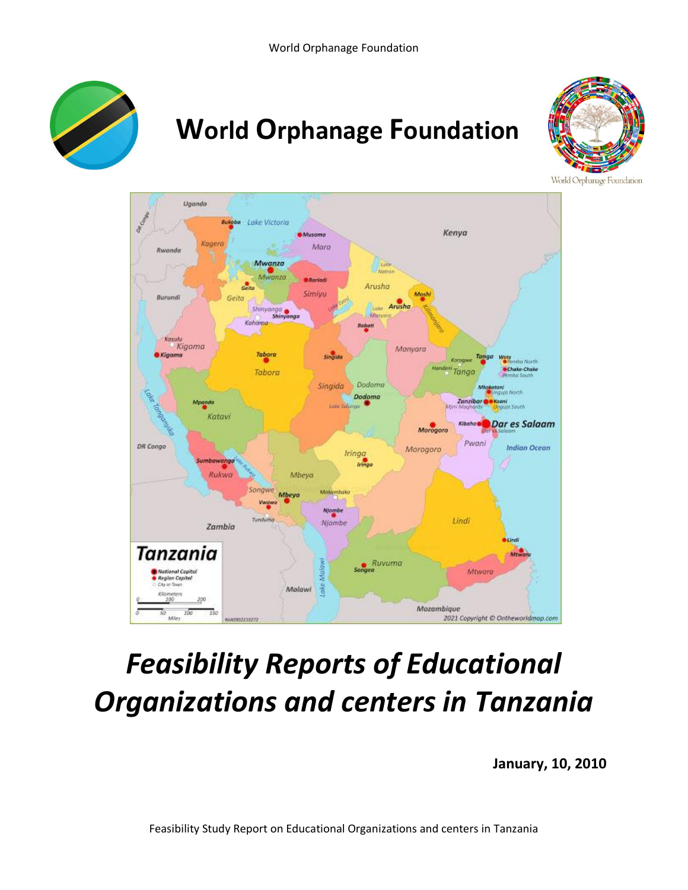

# **World Orphanage Foundation**



World Orphanage Foundation



# *Feasibility Reports of Educational Organizations and centers in Tanzania*

**January, 10, 2010**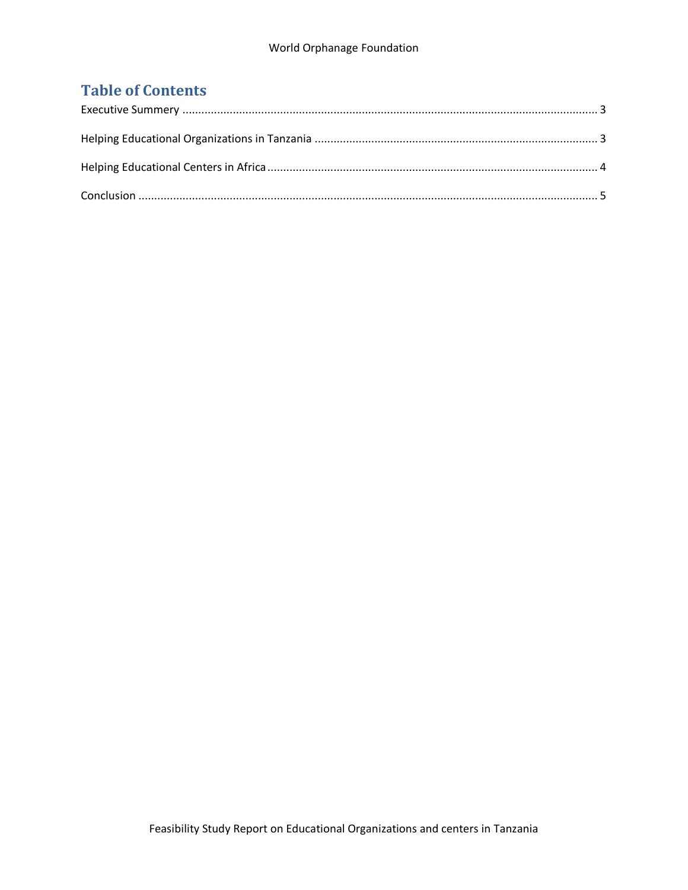### **Table of Contents**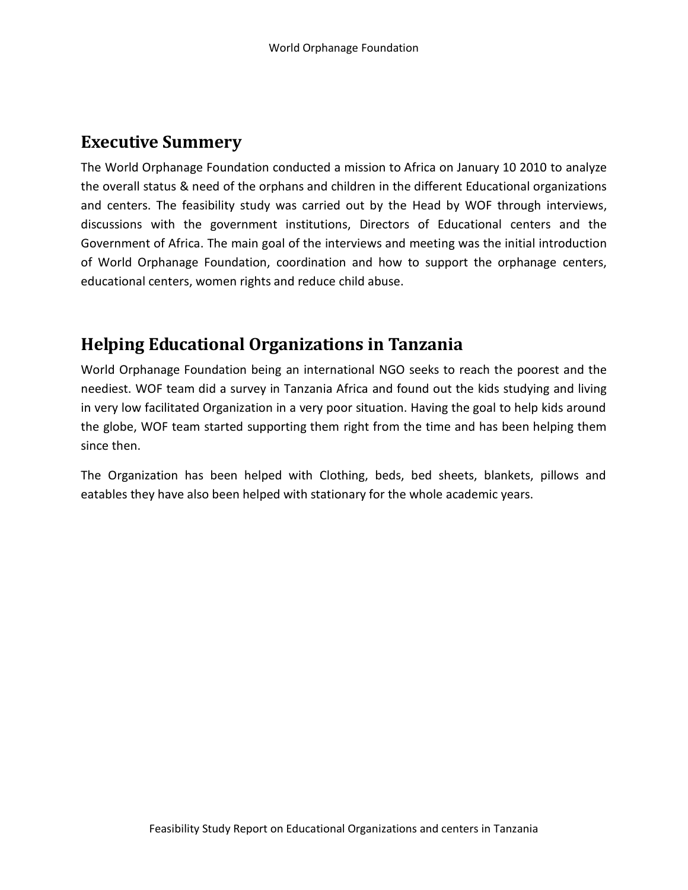#### <span id="page-2-0"></span>**Executive Summery**

The World Orphanage Foundation conducted a mission to Africa on January 10 2010 to analyze the overall status & need of the orphans and children in the different Educational organizations and centers. The feasibility study was carried out by the Head by WOF through interviews, discussions with the government institutions, Directors of Educational centers and the Government of Africa. The main goal of the interviews and meeting was the initial introduction of World Orphanage Foundation, coordination and how to support the orphanage centers, educational centers, women rights and reduce child abuse.

### <span id="page-2-1"></span>**Helping Educational Organizations in Tanzania**

World Orphanage Foundation being an international NGO seeks to reach the poorest and the neediest. WOF team did a survey in Tanzania Africa and found out the kids studying and living in very low facilitated Organization in a very poor situation. Having the goal to help kids around the globe, WOF team started supporting them right from the time and has been helping them since then.

The Organization has been helped with Clothing, beds, bed sheets, blankets, pillows and eatables they have also been helped with stationary for the whole academic years.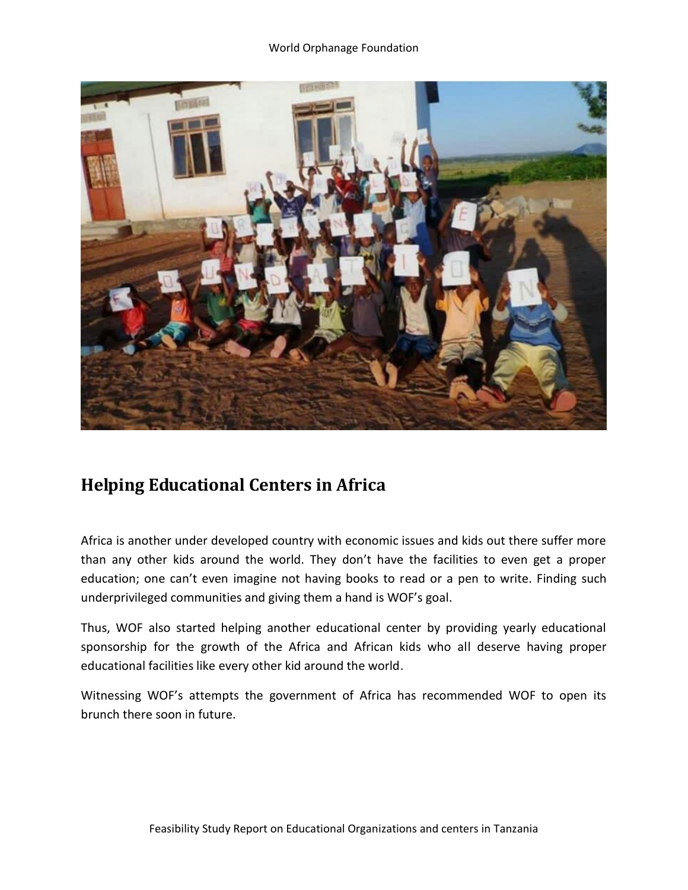

## <span id="page-3-0"></span>**Helping Educational Centers in Africa**

Africa is another under developed country with economic issues and kids out there suffer more than any other kids around the world. They don't have the facilities to even get a proper education; one can't even imagine not having books to read or a pen to write. Finding such underprivileged communities and giving them a hand is WOF's goal.

Thus, WOF also started helping another educational center by providing yearly educational sponsorship for the growth of the Africa and African kids who all deserve having proper educational facilities like every other kid around the world.

Witnessing WOF's attempts the government of Africa has recommended WOF to open its brunch there soon in future.